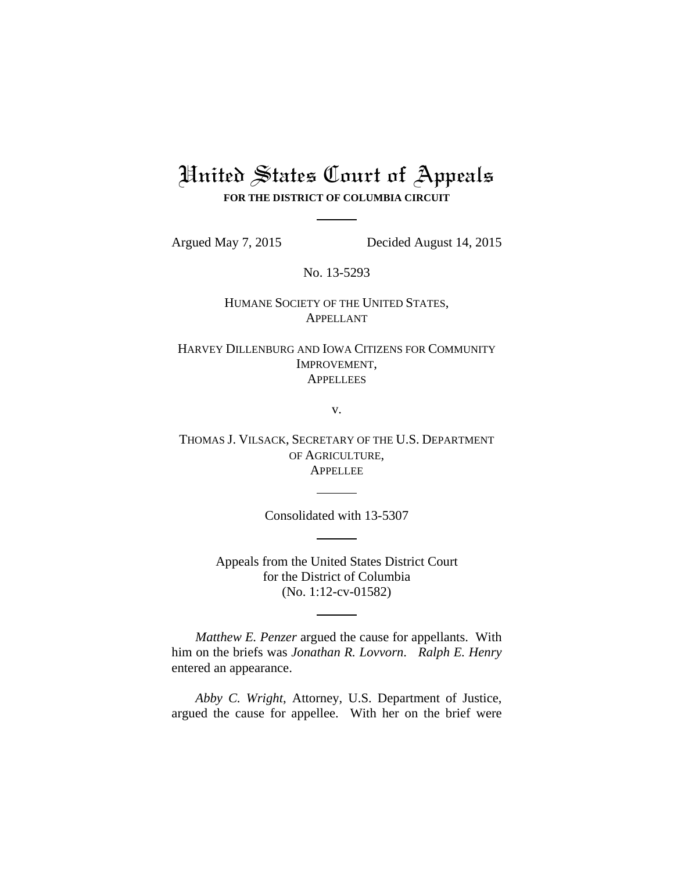# United States Court of Appeals **FOR THE DISTRICT OF COLUMBIA CIRCUIT**

Argued May 7, 2015 Decided August 14, 2015

No. 13-5293

HUMANE SOCIETY OF THE UNITED STATES, APPELLANT

HARVEY DILLENBURG AND IOWA CITIZENS FOR COMMUNITY IMPROVEMENT, **APPELLEES** 

v.

THOMAS J. VILSACK, SECRETARY OF THE U.S. DEPARTMENT OF AGRICULTURE, **APPELLEE** 

Consolidated with 13-5307

Appeals from the United States District Court for the District of Columbia (No. 1:12-cv-01582)

*Matthew E. Penzer* argued the cause for appellants. With him on the briefs was *Jonathan R. Lovvorn*. *Ralph E. Henry* entered an appearance.

*Abby C. Wright*, Attorney, U.S. Department of Justice, argued the cause for appellee. With her on the brief were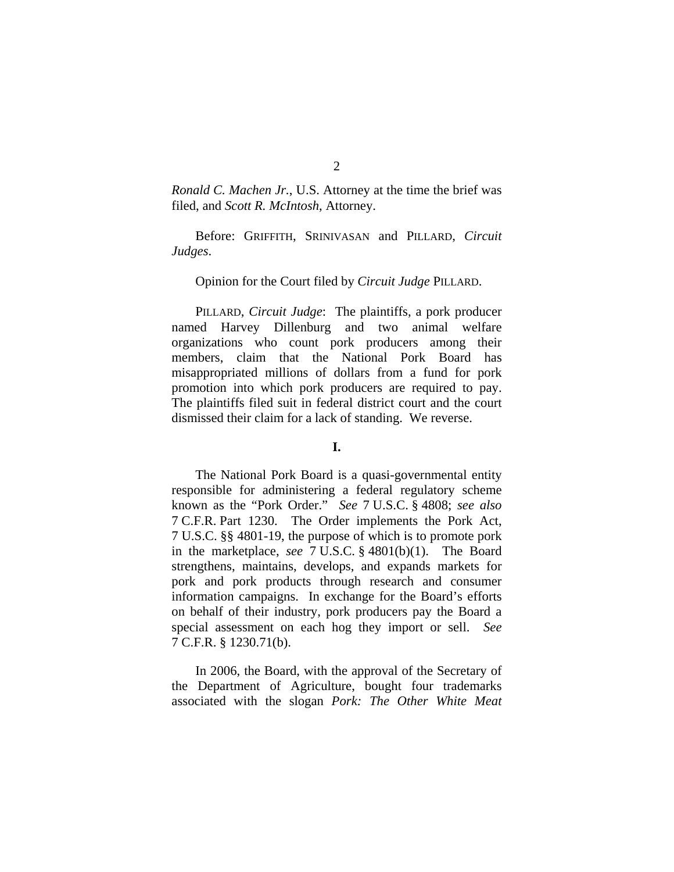*Ronald C. Machen Jr.*, U.S. Attorney at the time the brief was filed, and *Scott R. McIntosh*, Attorney.

Before: GRIFFITH, SRINIVASAN and PILLARD, *Circuit Judges*.

### Opinion for the Court filed by *Circuit Judge* PILLARD.

PILLARD, *Circuit Judge*: The plaintiffs, a pork producer named Harvey Dillenburg and two animal welfare organizations who count pork producers among their members, claim that the National Pork Board has misappropriated millions of dollars from a fund for pork promotion into which pork producers are required to pay. The plaintiffs filed suit in federal district court and the court dismissed their claim for a lack of standing. We reverse.

#### **I.**

The National Pork Board is a quasi-governmental entity responsible for administering a federal regulatory scheme known as the "Pork Order." *See* 7 U.S.C. § 4808; *see also*  7 C.F.R. Part 1230. The Order implements the Pork Act, 7 U.S.C. §§ 4801-19, the purpose of which is to promote pork in the marketplace, *see* 7 U.S.C. § 4801(b)(1). The Board strengthens, maintains, develops, and expands markets for pork and pork products through research and consumer information campaigns. In exchange for the Board's efforts on behalf of their industry, pork producers pay the Board a special assessment on each hog they import or sell. *See*  7 C.F.R. § 1230.71(b).

In 2006, the Board, with the approval of the Secretary of the Department of Agriculture, bought four trademarks associated with the slogan *Pork: The Other White Meat*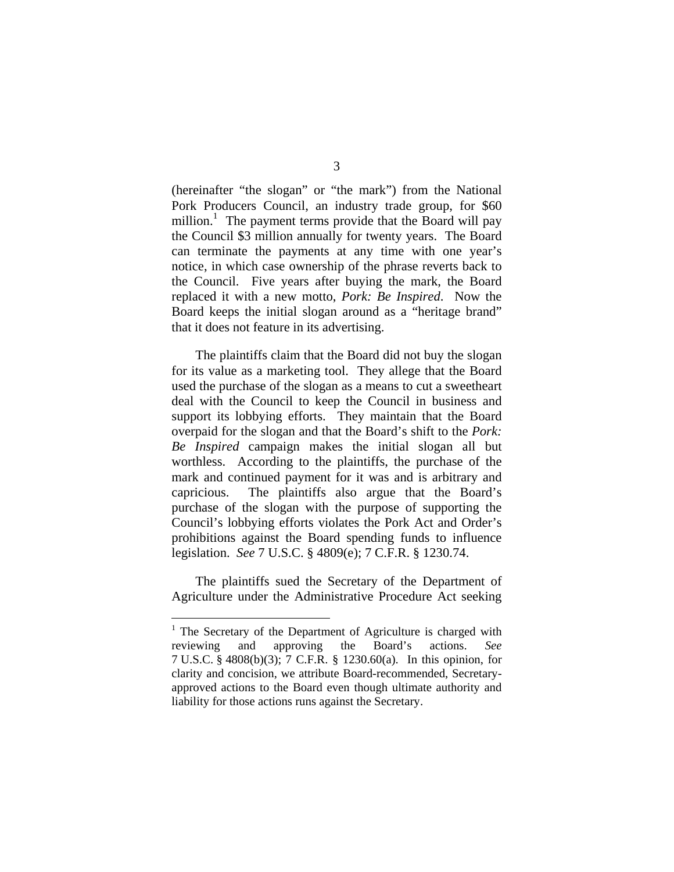(hereinafter "the slogan" or "the mark") from the National Pork Producers Council, an industry trade group, for \$60 million.<sup>1</sup> The payment terms provide that the Board will pay the Council \$3 million annually for twenty years. The Board can terminate the payments at any time with one year's notice, in which case ownership of the phrase reverts back to the Council. Five years after buying the mark, the Board replaced it with a new motto, *Pork: Be Inspired*. Now the Board keeps the initial slogan around as a "heritage brand" that it does not feature in its advertising.

The plaintiffs claim that the Board did not buy the slogan for its value as a marketing tool. They allege that the Board used the purchase of the slogan as a means to cut a sweetheart deal with the Council to keep the Council in business and support its lobbying efforts. They maintain that the Board overpaid for the slogan and that the Board's shift to the *Pork: Be Inspired* campaign makes the initial slogan all but worthless. According to the plaintiffs, the purchase of the mark and continued payment for it was and is arbitrary and capricious. The plaintiffs also argue that the Board's purchase of the slogan with the purpose of supporting the Council's lobbying efforts violates the Pork Act and Order's prohibitions against the Board spending funds to influence legislation. *See* 7 U.S.C. § 4809(e); 7 C.F.R. § 1230.74.

The plaintiffs sued the Secretary of the Department of Agriculture under the Administrative Procedure Act seeking

 $\overline{a}$ 

<sup>&</sup>lt;sup>1</sup> The Secretary of the Department of Agriculture is charged with reviewing and approving the Board's actions. *See*  7 U.S.C. § 4808(b)(3); 7 C.F.R. § 1230.60(a). In this opinion, for clarity and concision, we attribute Board-recommended, Secretaryapproved actions to the Board even though ultimate authority and liability for those actions runs against the Secretary.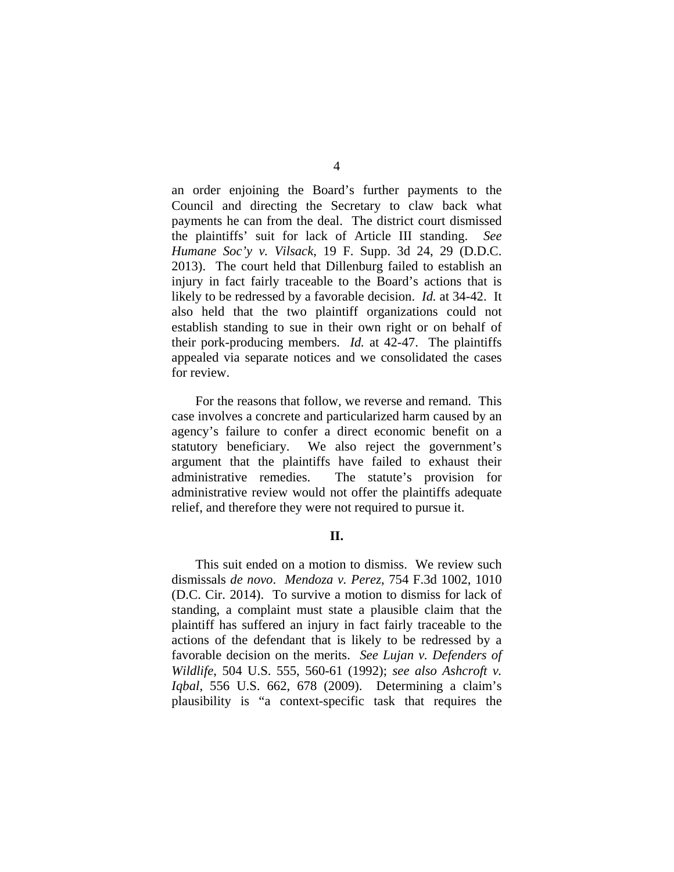an order enjoining the Board's further payments to the Council and directing the Secretary to claw back what payments he can from the deal. The district court dismissed the plaintiffs' suit for lack of Article III standing. *See Humane Soc'y v. Vilsack*, 19 F. Supp. 3d 24, 29 (D.D.C. 2013). The court held that Dillenburg failed to establish an injury in fact fairly traceable to the Board's actions that is likely to be redressed by a favorable decision. *Id.* at 34-42. It also held that the two plaintiff organizations could not establish standing to sue in their own right or on behalf of their pork-producing members. *Id.* at 42-47. The plaintiffs appealed via separate notices and we consolidated the cases for review.

For the reasons that follow, we reverse and remand. This case involves a concrete and particularized harm caused by an agency's failure to confer a direct economic benefit on a statutory beneficiary. We also reject the government's argument that the plaintiffs have failed to exhaust their administrative remedies. The statute's provision for administrative review would not offer the plaintiffs adequate relief, and therefore they were not required to pursue it.

# **II.**

This suit ended on a motion to dismiss. We review such dismissals *de novo*. *Mendoza v. Perez*, 754 F.3d 1002, 1010 (D.C. Cir. 2014). To survive a motion to dismiss for lack of standing, a complaint must state a plausible claim that the plaintiff has suffered an injury in fact fairly traceable to the actions of the defendant that is likely to be redressed by a favorable decision on the merits. *See Lujan v. Defenders of Wildlife*, 504 U.S. 555, 560-61 (1992); *see also Ashcroft v. Iqbal*, 556 U.S. 662, 678 (2009). Determining a claim's plausibility is "a context-specific task that requires the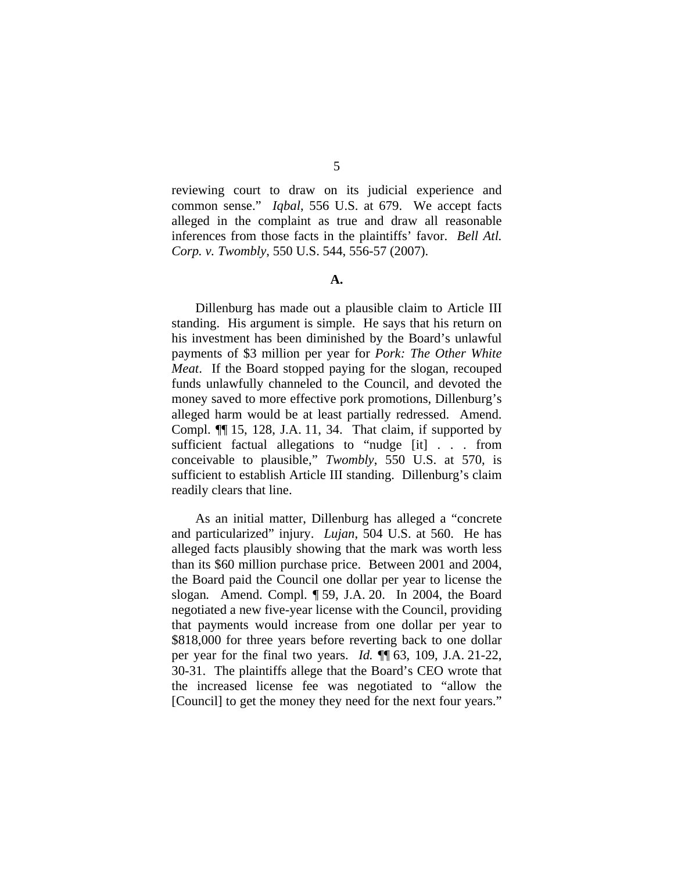reviewing court to draw on its judicial experience and common sense." *Iqbal*, 556 U.S. at 679. We accept facts alleged in the complaint as true and draw all reasonable inferences from those facts in the plaintiffs' favor. *Bell Atl. Corp. v. Twombly*, 550 U.S. 544, 556-57 (2007).

#### **A.**

Dillenburg has made out a plausible claim to Article III standing. His argument is simple. He says that his return on his investment has been diminished by the Board's unlawful payments of \$3 million per year for *Pork: The Other White Meat*. If the Board stopped paying for the slogan, recouped funds unlawfully channeled to the Council, and devoted the money saved to more effective pork promotions, Dillenburg's alleged harm would be at least partially redressed. Amend. Compl. ¶¶ 15, 128, J.A. 11, 34. That claim, if supported by sufficient factual allegations to "nudge [it] . . . from conceivable to plausible," *Twombly*, 550 U.S. at 570, is sufficient to establish Article III standing. Dillenburg's claim readily clears that line.

As an initial matter, Dillenburg has alleged a "concrete and particularized" injury. *Lujan*, 504 U.S. at 560. He has alleged facts plausibly showing that the mark was worth less than its \$60 million purchase price. Between 2001 and 2004, the Board paid the Council one dollar per year to license the slogan*.* Amend. Compl. ¶ 59, J.A. 20. In 2004, the Board negotiated a new five-year license with the Council, providing that payments would increase from one dollar per year to \$818,000 for three years before reverting back to one dollar per year for the final two years. *Id.* ¶¶ 63, 109, J.A. 21-22, 30-31. The plaintiffs allege that the Board's CEO wrote that the increased license fee was negotiated to "allow the [Council] to get the money they need for the next four years."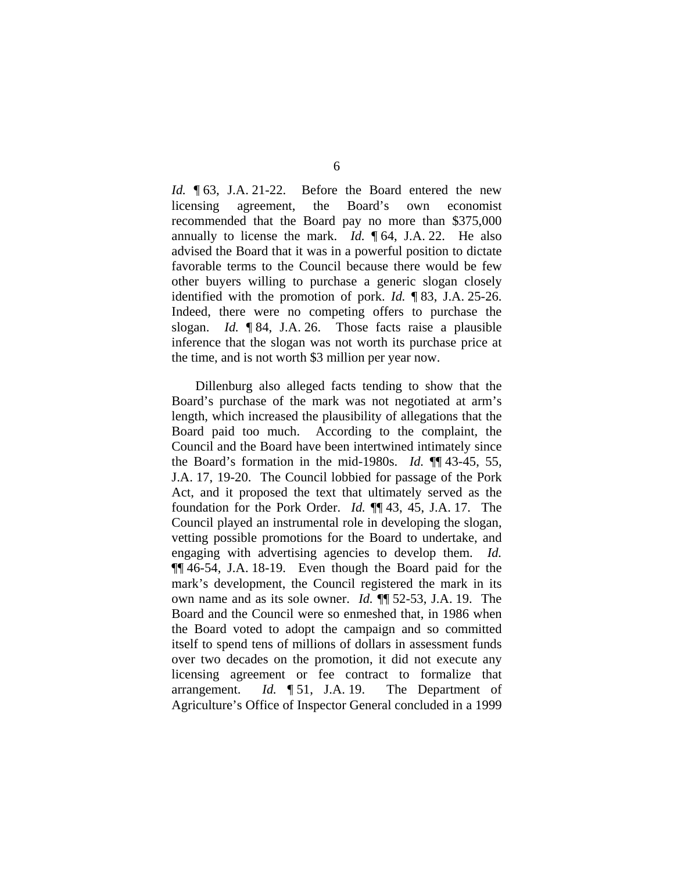*Id.* 163, J.A. 21-22. Before the Board entered the new licensing agreement, the Board's own economist recommended that the Board pay no more than \$375,000 annually to license the mark. *Id.* ¶ 64, J.A. 22. He also advised the Board that it was in a powerful position to dictate favorable terms to the Council because there would be few other buyers willing to purchase a generic slogan closely identified with the promotion of pork. *Id.* ¶ 83, J.A. 25-26. Indeed, there were no competing offers to purchase the slogan. *Id.* ¶ 84, J.A. 26. Those facts raise a plausible inference that the slogan was not worth its purchase price at the time, and is not worth \$3 million per year now.

Dillenburg also alleged facts tending to show that the Board's purchase of the mark was not negotiated at arm's length, which increased the plausibility of allegations that the Board paid too much. According to the complaint, the Council and the Board have been intertwined intimately since the Board's formation in the mid-1980s. *Id.* ¶¶ 43-45, 55, J.A. 17, 19-20. The Council lobbied for passage of the Pork Act, and it proposed the text that ultimately served as the foundation for the Pork Order. *Id.* ¶¶ 43, 45, J.A. 17. The Council played an instrumental role in developing the slogan, vetting possible promotions for the Board to undertake, and engaging with advertising agencies to develop them. *Id.* ¶¶ 46-54, J.A. 18-19. Even though the Board paid for the mark's development, the Council registered the mark in its own name and as its sole owner. *Id.* ¶¶ 52-53, J.A. 19. The Board and the Council were so enmeshed that, in 1986 when the Board voted to adopt the campaign and so committed itself to spend tens of millions of dollars in assessment funds over two decades on the promotion, it did not execute any licensing agreement or fee contract to formalize that arrangement. *Id.* ¶ 51, J.A. 19. The Department of Agriculture's Office of Inspector General concluded in a 1999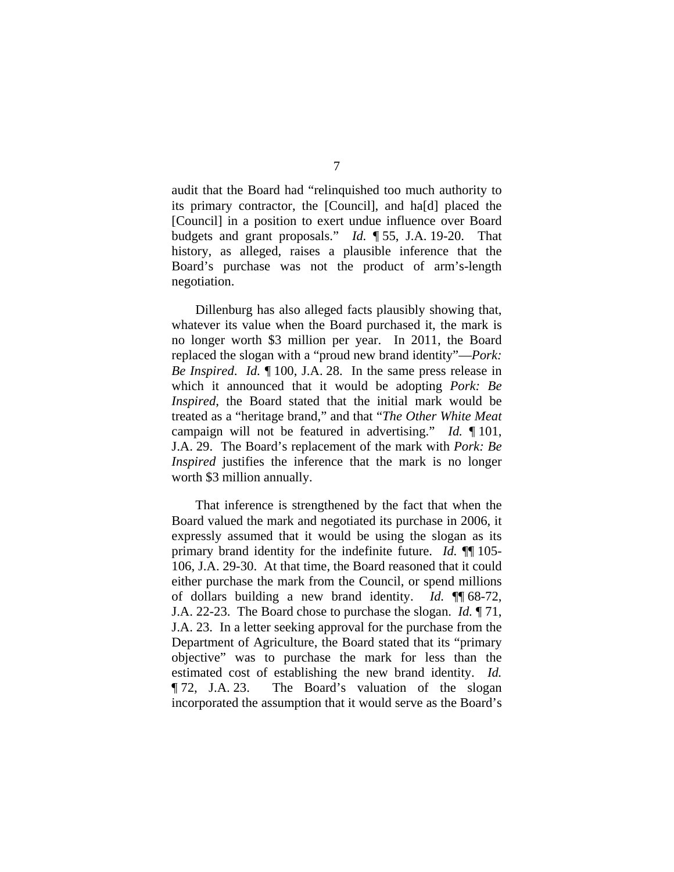audit that the Board had "relinquished too much authority to its primary contractor, the [Council], and ha[d] placed the [Council] in a position to exert undue influence over Board budgets and grant proposals." *Id.* ¶ 55, J.A. 19-20. That history, as alleged, raises a plausible inference that the Board's purchase was not the product of arm's-length negotiation.

Dillenburg has also alleged facts plausibly showing that, whatever its value when the Board purchased it, the mark is no longer worth \$3 million per year. In 2011, the Board replaced the slogan with a "proud new brand identity"—*Pork: Be Inspired*. *Id.* ¶ 100, J.A. 28. In the same press release in which it announced that it would be adopting *Pork: Be Inspired*, the Board stated that the initial mark would be treated as a "heritage brand," and that "*The Other White Meat* campaign will not be featured in advertising." *Id.* ¶ 101, J.A. 29. The Board's replacement of the mark with *Pork: Be Inspired* justifies the inference that the mark is no longer worth \$3 million annually.

That inference is strengthened by the fact that when the Board valued the mark and negotiated its purchase in 2006, it expressly assumed that it would be using the slogan as its primary brand identity for the indefinite future. *Id.* ¶¶ 105- 106, J.A. 29-30. At that time, the Board reasoned that it could either purchase the mark from the Council, or spend millions of dollars building a new brand identity. *Id.* ¶¶ 68-72, J.A. 22-23. The Board chose to purchase the slogan. *Id.* ¶ 71, J.A. 23. In a letter seeking approval for the purchase from the Department of Agriculture, the Board stated that its "primary objective" was to purchase the mark for less than the estimated cost of establishing the new brand identity. *Id.* ¶ 72, J.A. 23. The Board's valuation of the slogan incorporated the assumption that it would serve as the Board's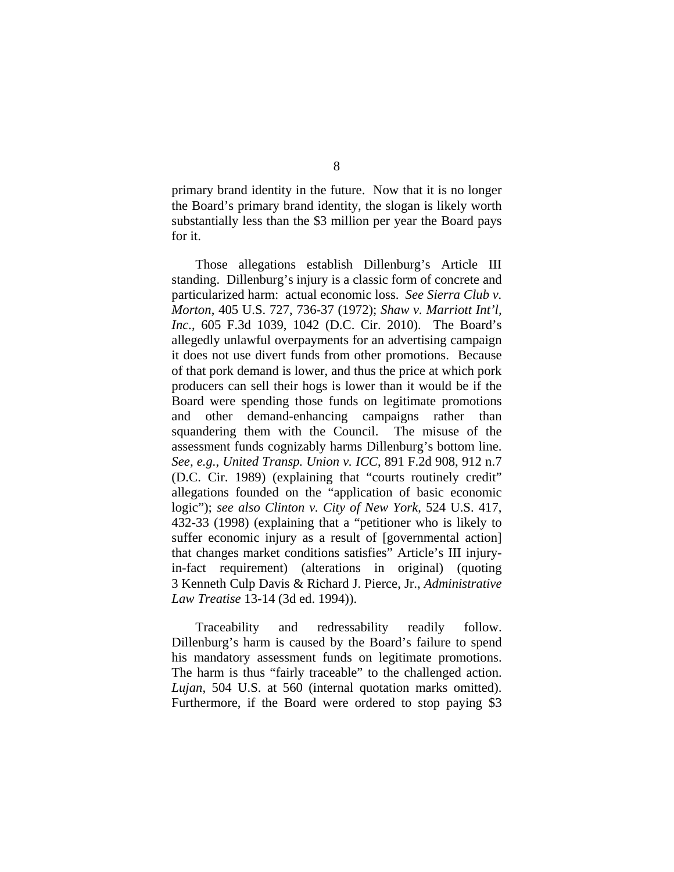primary brand identity in the future. Now that it is no longer the Board's primary brand identity, the slogan is likely worth substantially less than the \$3 million per year the Board pays for it.

Those allegations establish Dillenburg's Article III standing. Dillenburg's injury is a classic form of concrete and particularized harm: actual economic loss. *See Sierra Club v. Morton*, 405 U.S. 727, 736-37 (1972); *Shaw v. Marriott Int'l, Inc.*, 605 F.3d 1039, 1042 (D.C. Cir. 2010). The Board's allegedly unlawful overpayments for an advertising campaign it does not use divert funds from other promotions. Because of that pork demand is lower, and thus the price at which pork producers can sell their hogs is lower than it would be if the Board were spending those funds on legitimate promotions and other demand-enhancing campaigns rather than squandering them with the Council. The misuse of the assessment funds cognizably harms Dillenburg's bottom line. *See, e.g.*, *United Transp. Union v. ICC*, 891 F.2d 908, 912 n.7 (D.C. Cir. 1989) (explaining that "courts routinely credit" allegations founded on the "application of basic economic logic"); *see also Clinton v. City of New York*, 524 U.S. 417, 432-33 (1998) (explaining that a "petitioner who is likely to suffer economic injury as a result of [governmental action] that changes market conditions satisfies" Article's III injuryin-fact requirement) (alterations in original) (quoting 3 Kenneth Culp Davis & Richard J. Pierce, Jr., *Administrative Law Treatise* 13-14 (3d ed. 1994)).

Traceability and redressability readily follow. Dillenburg's harm is caused by the Board's failure to spend his mandatory assessment funds on legitimate promotions. The harm is thus "fairly traceable" to the challenged action. *Lujan*, 504 U.S. at 560 (internal quotation marks omitted). Furthermore, if the Board were ordered to stop paying \$3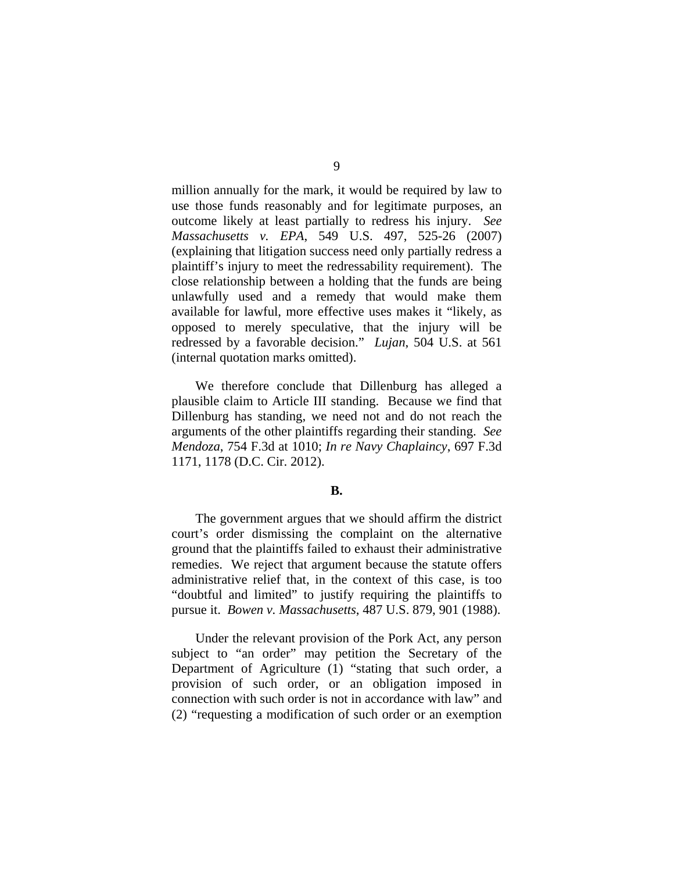million annually for the mark, it would be required by law to use those funds reasonably and for legitimate purposes, an outcome likely at least partially to redress his injury. *See Massachusetts v. EPA*, 549 U.S. 497, 525-26 (2007) (explaining that litigation success need only partially redress a plaintiff's injury to meet the redressability requirement). The close relationship between a holding that the funds are being unlawfully used and a remedy that would make them available for lawful, more effective uses makes it "likely, as opposed to merely speculative, that the injury will be redressed by a favorable decision." *Lujan*, 504 U.S. at 561 (internal quotation marks omitted).

We therefore conclude that Dillenburg has alleged a plausible claim to Article III standing. Because we find that Dillenburg has standing, we need not and do not reach the arguments of the other plaintiffs regarding their standing. *See Mendoza*, 754 F.3d at 1010; *In re Navy Chaplaincy*, 697 F.3d 1171, 1178 (D.C. Cir. 2012).

## **B.**

The government argues that we should affirm the district court's order dismissing the complaint on the alternative ground that the plaintiffs failed to exhaust their administrative remedies. We reject that argument because the statute offers administrative relief that, in the context of this case, is too "doubtful and limited" to justify requiring the plaintiffs to pursue it. *Bowen v. Massachusetts*, 487 U.S. 879, 901 (1988).

Under the relevant provision of the Pork Act, any person subject to "an order" may petition the Secretary of the Department of Agriculture (1) "stating that such order, a provision of such order, or an obligation imposed in connection with such order is not in accordance with law" and (2) "requesting a modification of such order or an exemption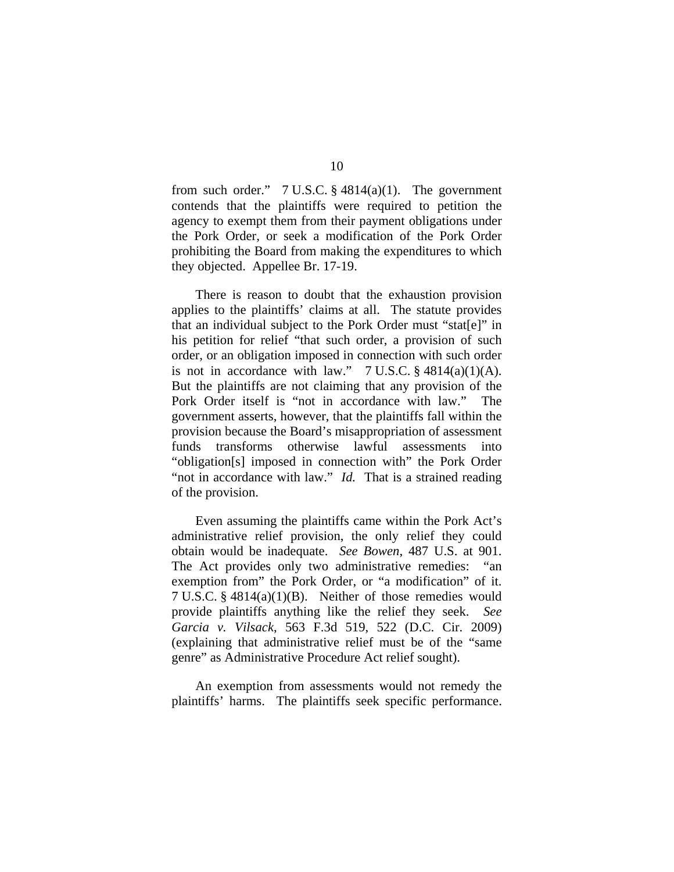from such order."  $7 \text{ U.S.C. }$  \$4814(a)(1). The government contends that the plaintiffs were required to petition the agency to exempt them from their payment obligations under the Pork Order, or seek a modification of the Pork Order prohibiting the Board from making the expenditures to which they objected. Appellee Br. 17-19.

There is reason to doubt that the exhaustion provision applies to the plaintiffs' claims at all. The statute provides that an individual subject to the Pork Order must "stat[e]" in his petition for relief "that such order, a provision of such order, or an obligation imposed in connection with such order is not in accordance with law."  $7 \text{ U.S.C.} \$   $4814(a)(1)(A)$ . But the plaintiffs are not claiming that any provision of the Pork Order itself is "not in accordance with law." The government asserts, however, that the plaintiffs fall within the provision because the Board's misappropriation of assessment funds transforms otherwise lawful assessments into "obligation[s] imposed in connection with" the Pork Order "not in accordance with law." *Id.* That is a strained reading of the provision.

Even assuming the plaintiffs came within the Pork Act's administrative relief provision, the only relief they could obtain would be inadequate. *See Bowen*, 487 U.S. at 901. The Act provides only two administrative remedies: "an exemption from" the Pork Order, or "a modification" of it. 7 U.S.C. § 4814(a)(1)(B). Neither of those remedies would provide plaintiffs anything like the relief they seek. *See Garcia v. Vilsack*, 563 F.3d 519, 522 (D.C. Cir. 2009) (explaining that administrative relief must be of the "same genre" as Administrative Procedure Act relief sought).

An exemption from assessments would not remedy the plaintiffs' harms. The plaintiffs seek specific performance.